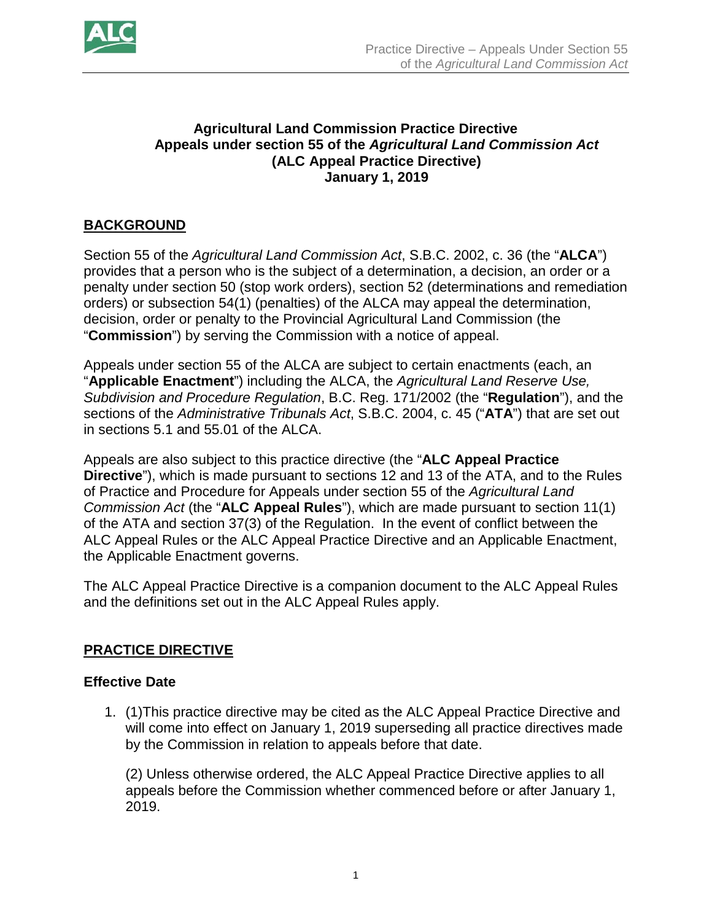

## **Agricultural Land Commission Practice Directive Appeals under section 55 of the** *Agricultural Land Commission Act* **(ALC Appeal Practice Directive) January 1, 2019**

# **BACKGROUND**

Section 55 of the *Agricultural Land Commission Act*, S.B.C. 2002, c. 36 (the "**ALCA**") provides that a person who is the subject of a determination, a decision, an order or a penalty under section 50 (stop work orders), section 52 (determinations and remediation orders) or subsection 54(1) (penalties) of the ALCA may appeal the determination, decision, order or penalty to the Provincial Agricultural Land Commission (the "**Commission**") by serving the Commission with a notice of appeal.

Appeals under section 55 of the ALCA are subject to certain enactments (each, an "**Applicable Enactment**") including the ALCA, the *Agricultural Land Reserve Use, Subdivision and Procedure Regulation*, B.C. Reg. 171/2002 (the "**Regulation**"), and the sections of the *Administrative Tribunals Act*, S.B.C. 2004, c. 45 ("**ATA**") that are set out in sections 5.1 and 55.01 of the ALCA.

Appeals are also subject to this practice directive (the "**ALC Appeal Practice Directive**"), which is made pursuant to sections 12 and 13 of the ATA, and to the Rules of Practice and Procedure for Appeals under section 55 of the *Agricultural Land Commission Act* (the "**ALC Appeal Rules**"), which are made pursuant to section 11(1) of the ATA and section 37(3) of the Regulation. In the event of conflict between the ALC Appeal Rules or the ALC Appeal Practice Directive and an Applicable Enactment, the Applicable Enactment governs.

The ALC Appeal Practice Directive is a companion document to the ALC Appeal Rules and the definitions set out in the ALC Appeal Rules apply.

## **PRACTICE DIRECTIVE**

### **Effective Date**

1. (1)This practice directive may be cited as the ALC Appeal Practice Directive and will come into effect on January 1, 2019 superseding all practice directives made by the Commission in relation to appeals before that date.

(2) Unless otherwise ordered, the ALC Appeal Practice Directive applies to all appeals before the Commission whether commenced before or after January 1, 2019.